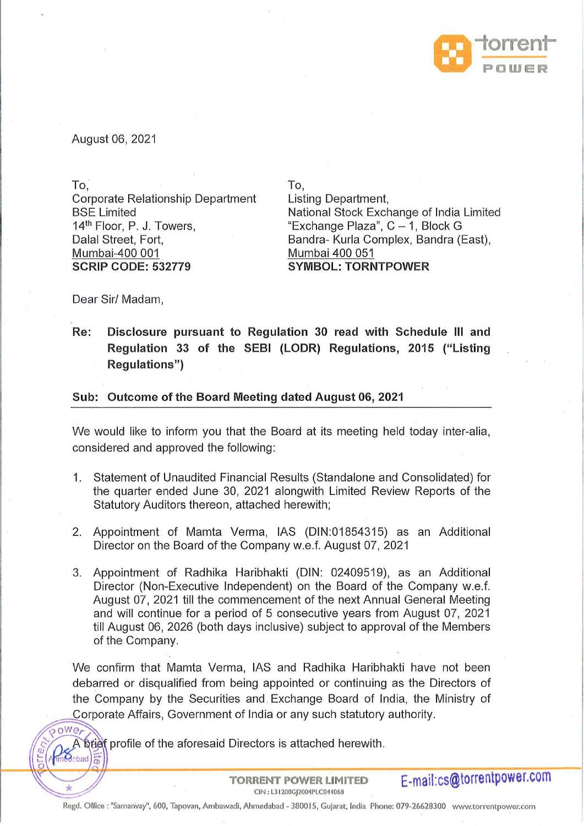

August 06, 2021

To.

Rabad

Corporate Relationship Department BSE Limited 14<sup>th</sup> Floor, P. J. Towers, Dalal Street, Fort, Mumbai-400 001 **SCRIP CODE: 532779** 

To, Listing Department, National Stock Exchange of India Limited "Exchange Plaza", C - 1, Block G Bandra- Kurla Complex, Bandra (East), Mumbai 400 051 **SYMBOL: TORNTPOWER** 

Dear Sir/ Madam,

**Re: Disclosure pursuant to Regulation 30 read with Schedule Ill and Regulation 33 of the SEBI (LODR) Regulations, 2015 ("Listing Regulations")** 

## **Sub: Outcome of the Board Meeting dated August 06, 2021**

We would like to inform you that the Board at its meeting held today inter-alia, considered and approved the following:

- 1. Statement of Unaudited Financial Results (Standalone and Consolidated) for the quarter ended June 30, 2021 alongwith Limited Review Reports of the Statutory Auditors thereon, attached herewith;
- 2. Appointment of Mamta Verma, IAS (DIN:01854315) as an Additional Director on the Board of the Company w.e.f. August 07, 2021
- 3. Appointment of Radhika Haribhakti (DIN: 02409519), as an Additional Director (Non-Executive Independent) on the Board of the Company w.e.f. August 07, 2021 till the commencement of the next Annual General Meeting and will continue for a period of 5 consecutive years from August 07, 2021 till August 06, 2026 (both days inclusive) subject to approval of the Members of the Company.

We confirm that Mamta Verma, IAS and Radhika Haribhakti have not been debarred or disqualified from being appointed or continuing as the Directors of the Company by the Securities and Exchange Board of India, the Ministry of Corporate Affairs, Government of India or any such statutory authority.<br>
owe

A brief profile of the aforesaid Directors is attached herewith.

**TORRENT POWER LIMITED E-mail:cs@torrentpower.com**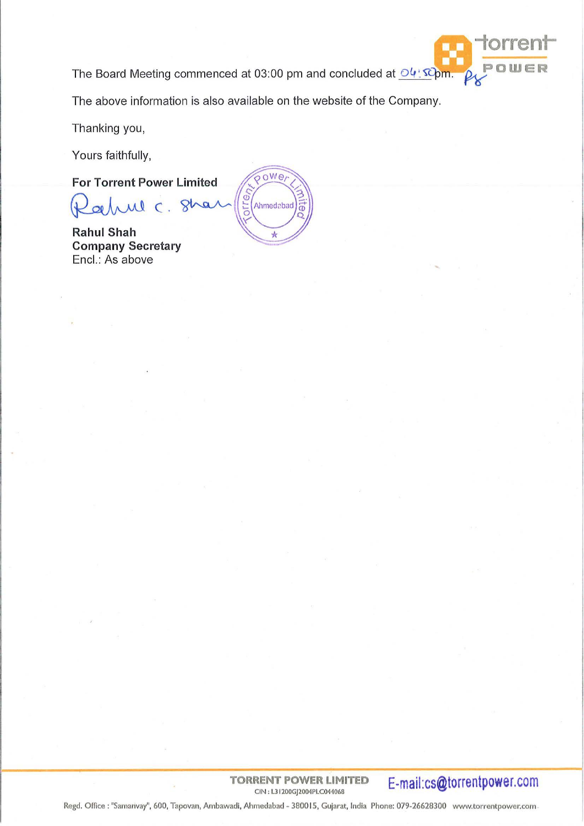The Board Meeting commenced at 03:00 pm and concluded at  $O($  *Q Q*  $\Omega$  **D WER** 

The above information is also available on the website of the Company.

Thanking you,

Yours faithfully,

**For Torrent Power Limited** 

 $\overline{a}$ Q  $\mathsf{C}$ 

**Rahul Shah Company Secretary**  Encl.: As above



**TORRENT POWER LIMITED**<br>CIN : L31200GJ2004PLC044068

E-mail:cs@torrentpower.com

Regd. Office : "Samanvay", 600, Tapovan, Ambawadi, Ahmedabad - 380015, Gujarat, India Phone: 079-26628300 www.torrentpower.com.